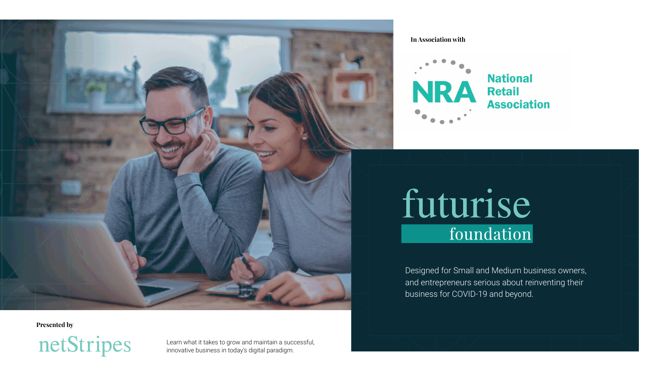Designed for Small and Medium business owners, and entrepreneurs serious about reinventing their business for COVID-19 and beyond.



Learn what it takes to grow and maintain a successful, innovative business in today's digital paradigm.



**Presented by**



#### **In Association with**



# futurise foundation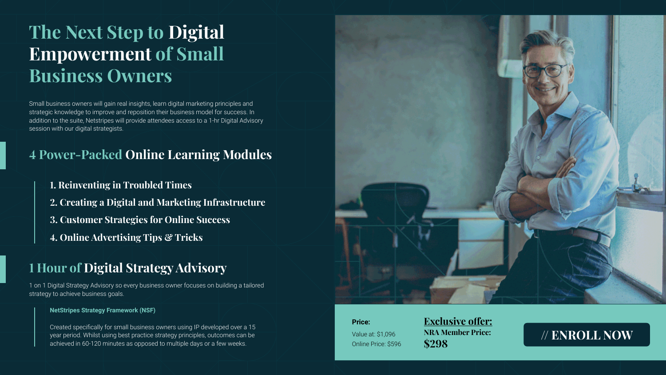Small business owners will gain real insights, learn digital marketing principles and strategic knowledge to improve and reposition their business model for success. In addition to the suite, Netstripes will provide attendees access to a 1-hr Digital Advisory session with our digital strategists.

1 on 1 Digital Strategy Advisory so every business owner focuses on building a tailored strategy to achieve business goals.

#### **NetStripes Strategy Framework (NSF)**

Created specifically for small business owners using IP developed over a 15 year period. Whilst using best practice strategy principles, outcomes can be achieved in 60-120 minutes as opposed to multiple days or a few weeks.



## **The Next Step to Digital Empowerment of Small Business Owners**

### **4 Power-Packed Online Learning Modules**

### **1 Hour of Digital Strategy Advisory**

- **1. Reinventing in Troubled Times**
- **2. Creating a Digital and Marketing Infrastructure**
- **3. Customer Strategies for Online Success**
- **4. Online Advertising Tips & Tricks**

**Price:**

Value at: \$1,096 Online Price: \$596

**Exclusive offer: NRA Member Price: \$298**

### **[// ENROLL NOW](https://www.netstripes.com/product/futurise-foundation-nra-members/?utm_source=MKP-NRA&utm_medium=MKP&utm_campaign=MKP-NRA-Flyer-Foundation)**

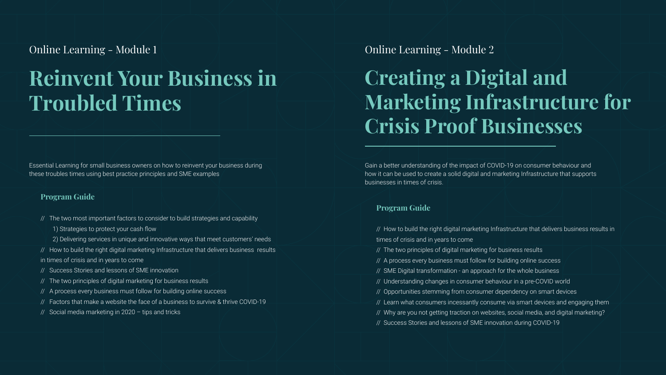# **Reinvent Your Business in Troubled Times**

Essential Learning for small business owners on how to reinvent your business during these troubles times using best practice principles and SME examples

#### **Program Guide**

- // The two most important factors to consider to build strategies and capability
	- 1) Strategies to protect your cash flow
	- 2) Delivering services in unique and innovative ways that meet customers' needs
- // How to build the right digital marketing Infrastructure that delivers business results in times of crisis and in years to come
- // Success Stories and lessons of SME innovation
- // The two principles of digital marketing for business results
- // A process every business must follow for building online success
- // Factors that make a website the face of a business to survive & thrive COVID-19
- // Social media marketing in 2020 tips and tricks

### Online Learning - Module 1

# **Creating a Digital and Marketing Infrastructure for Crisis Proof Businesses**

- // The two principles of digital marketing for business results
- // A process every business must follow for building online success
- // SME Digital transformation an approach for the whole business
- // Understanding changes in consumer behaviour in a pre-COVID world
- // Opportunities stemming from consumer dependency on smart devices
- // Learn what consumers incessantly consume via smart devices and engaging them
- // Why are you not getting traction on websites, social media, and digital marketing?
- // Success Stories and lessons of SME innovation during COVID-19



Gain a better understanding of the impact of COVID-19 on consumer behaviour and how it can be used to create a solid digital and marketing Infrastructure that supports businesses in times of crisis.

#### **Program Guide**

 $/$ / How to build the right digital marketing Infrastructure that delivers business results in times of crisis and in years to come

### Online Learning - Module 2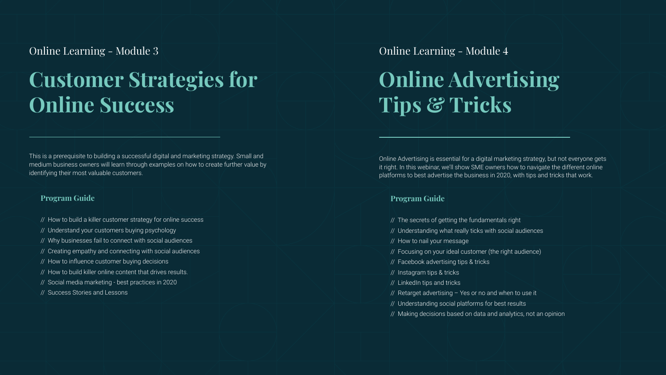# **Customer Strategies for Online Success**

This is a prerequisite to building a successful digital and marketing strategy. Small and medium business owners will learn through examples on how to create further value by identifying their most valuable customers.

#### **Program Guide**

- // How to build a killer customer strategy for online success
- // Understand your customers buying psychology
- // Why businesses fail to connect with social audiences
- // Creating empathy and connecting with social audiences
- // How to influence customer buying decisions
- // How to build killer online content that drives results.
- // Social media marketing best practices in 2020
- // Success Stories and Lessons

### Online Learning - Module 3

- // The secrets of getting the fundamentals right
- // Understanding what really ticks with social audiences
- // How to nail your message
- // Focusing on your ideal customer (the right audience)
- // Facebook advertising tips & tricks
- // Instagram tips & tricks
- // LinkedIn tips and tricks
- // Retarget advertising Yes or no and when to use it
- // Understanding social platforms for best results
- // Making decisions based on data and analytics, not an opinion

| the contract of the contract of the<br><u> Tanzania (m. 1888)</u>                                                               |  |
|---------------------------------------------------------------------------------------------------------------------------------|--|
|                                                                                                                                 |  |
|                                                                                                                                 |  |
|                                                                                                                                 |  |
|                                                                                                                                 |  |
|                                                                                                                                 |  |
|                                                                                                                                 |  |
|                                                                                                                                 |  |
|                                                                                                                                 |  |
|                                                                                                                                 |  |
|                                                                                                                                 |  |
|                                                                                                                                 |  |
|                                                                                                                                 |  |
|                                                                                                                                 |  |
|                                                                                                                                 |  |
|                                                                                                                                 |  |
|                                                                                                                                 |  |
|                                                                                                                                 |  |
|                                                                                                                                 |  |
|                                                                                                                                 |  |
|                                                                                                                                 |  |
|                                                                                                                                 |  |
|                                                                                                                                 |  |
|                                                                                                                                 |  |
|                                                                                                                                 |  |
|                                                                                                                                 |  |
|                                                                                                                                 |  |
|                                                                                                                                 |  |
|                                                                                                                                 |  |
| $\mathcal{L}^{\text{max}}_{\text{max}}$ and $\mathcal{L}^{\text{max}}_{\text{max}}$ and $\mathcal{L}^{\text{max}}_{\text{max}}$ |  |
|                                                                                                                                 |  |

Online Advertising is essential for a digital marketing strategy, but not everyone gets it right. In this webinar, we'll show SME owners how to navigate the different online platforms to best advertise the business in 2020, with tips and tricks that work.

#### **Program Guide**

# **Online Advertising Tips & Tricks** Online Learning - Module 4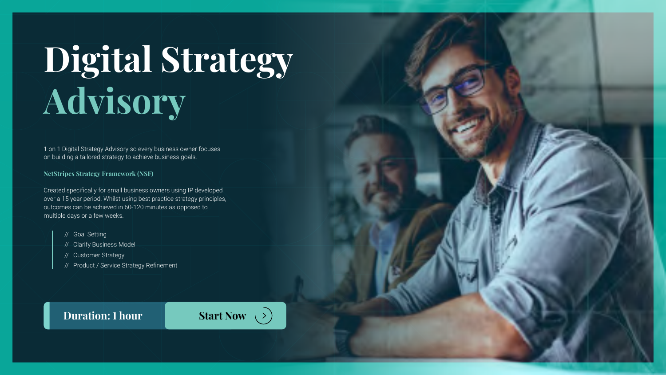# **Digital Strategy Advisory**

1 on 1 Digital Strategy Advisory so every business owner focuses on building a tailored strategy to achieve business goals.

**NetStripes Strategy Framework (NSF)**

Created specifically for small business owners using IP developed over a 15 year period. Whilst using best practice strategy principles, outcomes can be achieved in 60-120 minutes as opposed to multiple days or a few weeks.

- // Goal Setting
- // Clarify Business Model
- // Customer Strategy
- // Product / Service Strategy Refinement

### **[Duration: 1](https://www.netstripes.com/product/futurise-foundation-nra-members/?utm_source=MKP-NRA&utm_medium=MKP&utm_campaign=MKP-NRA-Flyer-Foundation) hour Start Now**  $(>)$

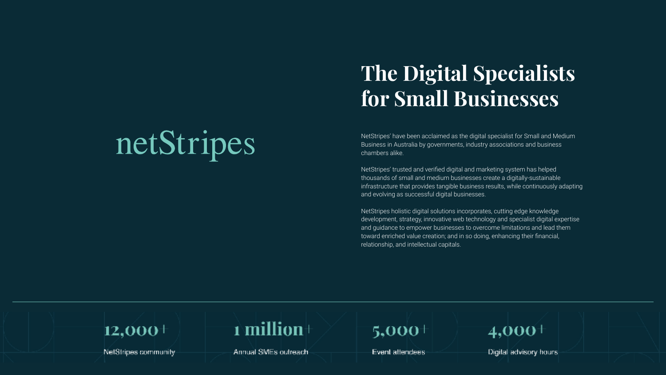# netStripes



NetStripes community



Annual SMEs outreach

# **The Digital Specialists for Small Businesses**

NetStripes' have been acclaimed as the digital specialist for Small and Medium Business in Australia by governments, industry associations and business chambers alike.

NetStripes' trusted and verified digital and marketing system has helped thousands of small and medium businesses create a digitally-sustainable infrastructure that provides tangible business results, while continuously adapting and evolving as successful digital businesses.

NetStripes holistic digital solutions incorporates, cutting edge knowledge development, strategy, innovative web technology and specialist digital expertise and guidance to empower businesses to overcome limitations and lead them toward enriched value creation; and in so doing, enhancing their financial, relationship, and intellectual capitals.